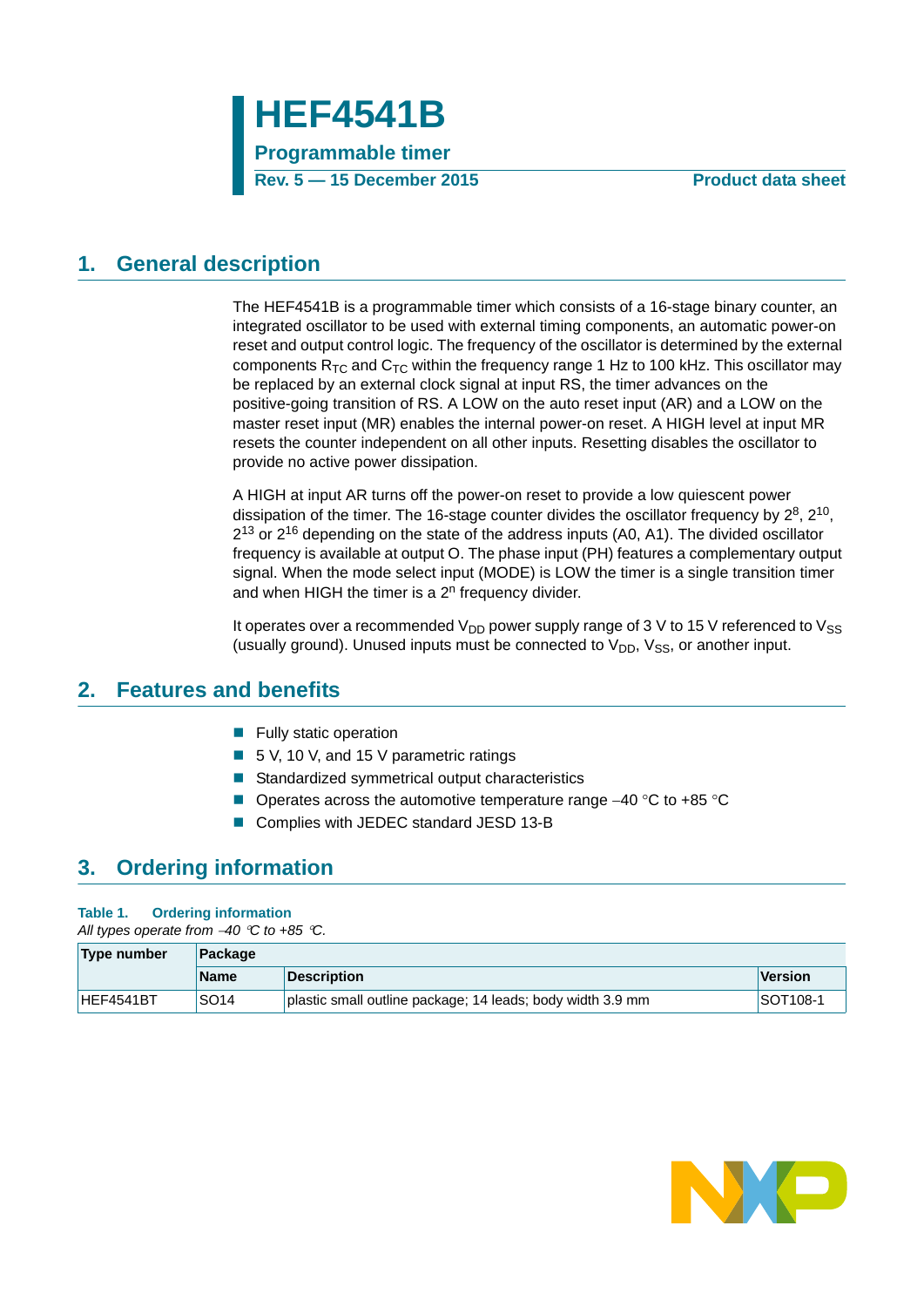

### <span id="page-0-1"></span>**1. General description**

The HEF4541B is a programmable timer which consists of a 16-stage binary counter, an integrated oscillator to be used with external timing components, an automatic power-on reset and output control logic. The frequency of the oscillator is determined by the external components  $R_{TC}$  and  $C_{TC}$  within the frequency range 1 Hz to 100 kHz. This oscillator may be replaced by an external clock signal at input RS, the timer advances on the positive-going transition of RS. A LOW on the auto reset input (AR) and a LOW on the master reset input (MR) enables the internal power-on reset. A HIGH level at input MR resets the counter independent on all other inputs. Resetting disables the oscillator to provide no active power dissipation.

A HIGH at input AR turns off the power-on reset to provide a low quiescent power dissipation of the timer. The 16-stage counter divides the oscillator frequency by  $2^8$ ,  $2^{10}$ ,  $2^{13}$  or  $2^{16}$  depending on the state of the address inputs (A0, A1). The divided oscillator frequency is available at output O. The phase input (PH) features a complementary output signal. When the mode select input (MODE) is LOW the timer is a single transition timer and when HIGH the timer is a  $2<sup>n</sup>$  frequency divider.

It operates over a recommended  $V_{DD}$  power supply range of 3 V to 15 V referenced to  $V_{SS}$ (usually ground). Unused inputs must be connected to  $V_{DD}$ ,  $V_{SS}$ , or another input.

### <span id="page-0-0"></span>**2. Features and benefits**

- $\blacksquare$  Fully static operation
- 5 V, 10 V, and 15 V parametric ratings
- Standardized symmetrical output characteristics
- Operates across the automotive temperature range  $-40$  °C to +85 °C
- Complies with JEDEC standard JESD 13-B

### <span id="page-0-2"></span>**3. Ordering information**

#### **Table 1. Ordering information**

*All types operate from 40 C to +85 C.*

| Type number | Package          |                                                            |                      |  |  |  |  |
|-------------|------------------|------------------------------------------------------------|----------------------|--|--|--|--|
|             | <b>Name</b>      | <b>Description</b>                                         | <b>Version</b>       |  |  |  |  |
| HEF4541BT   | SO <sub>14</sub> | plastic small outline package; 14 leads; body width 3.9 mm | SOT <sub>108-1</sub> |  |  |  |  |

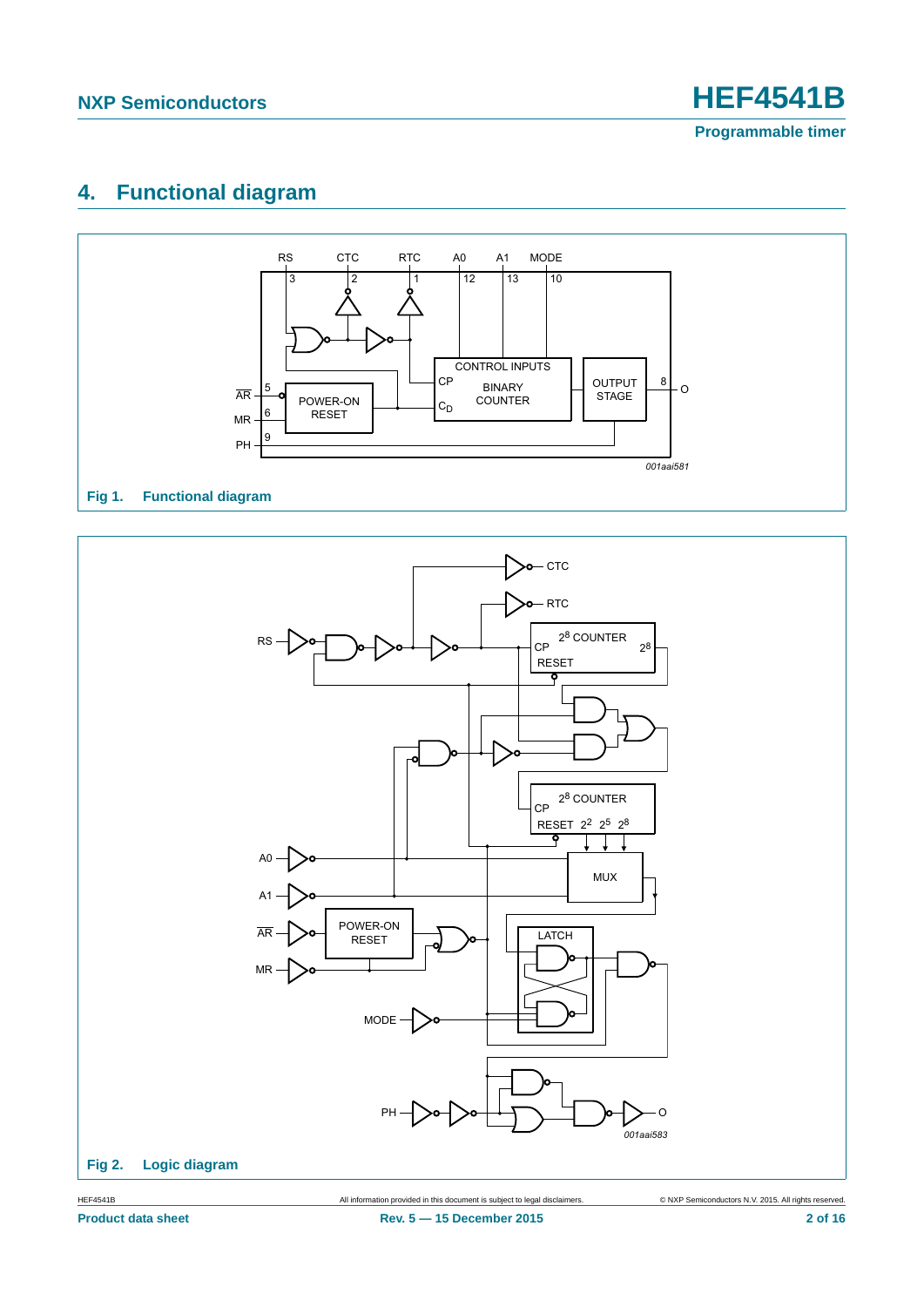**Programmable timer**

### <span id="page-1-0"></span>**4. Functional diagram**



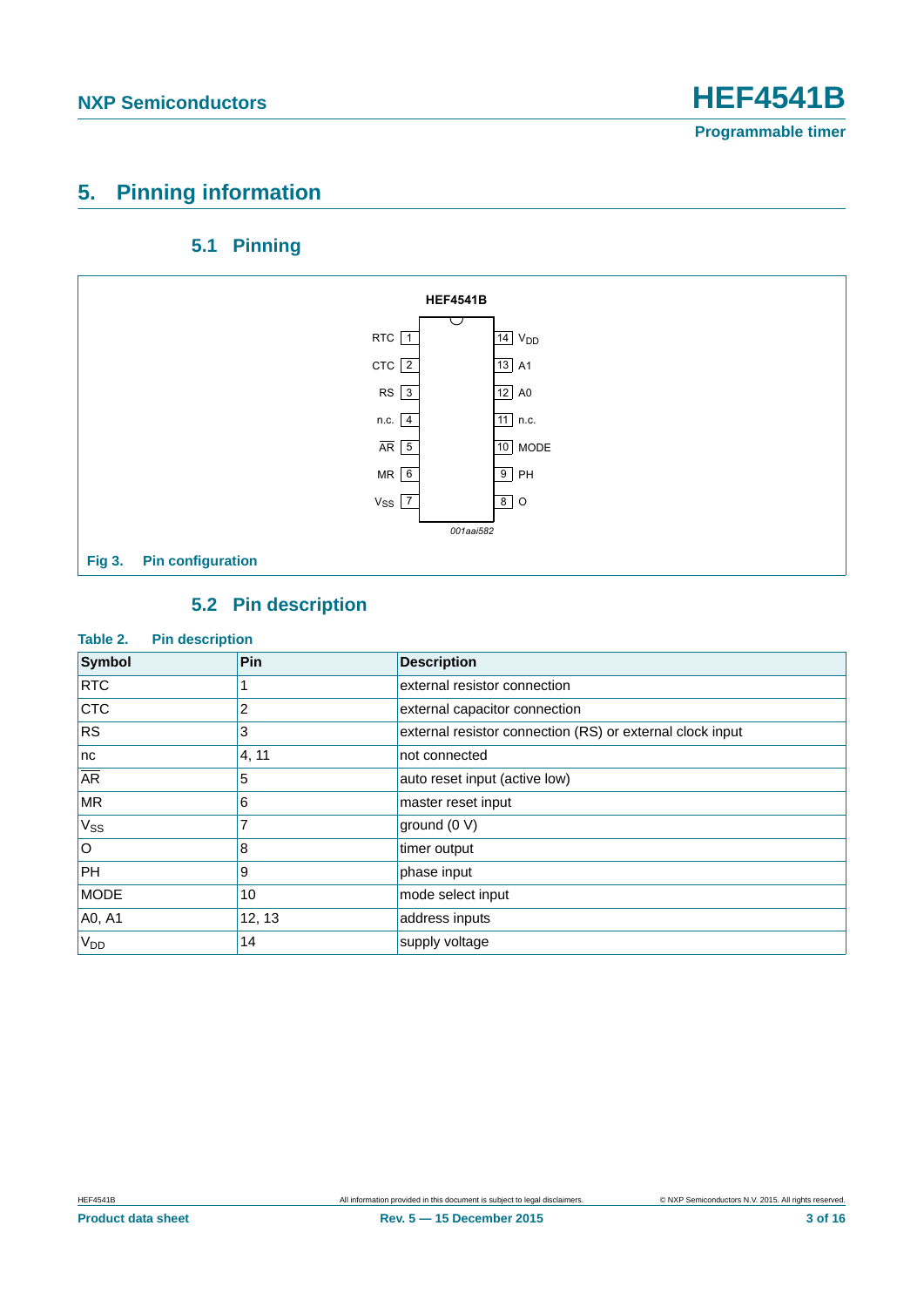### <span id="page-2-0"></span>**5. Pinning information**

### **5.1 Pinning**

<span id="page-2-1"></span>

### **5.2 Pin description**

#### <span id="page-2-2"></span>**Table 2. Pin description**

| Symbol                   | Pin    | <b>Description</b>                                        |
|--------------------------|--------|-----------------------------------------------------------|
| <b>RTC</b>               |        | external resistor connection                              |
| <b>CTC</b>               | 2      | external capacitor connection                             |
| <b>RS</b>                | 3      | external resistor connection (RS) or external clock input |
| nc                       | 4, 11  | not connected                                             |
| $\overline{\mathsf{AR}}$ | 5      | auto reset input (active low)                             |
| <b>MR</b>                | 6      | master reset input                                        |
| <b>V<sub>ss</sub></b>    | 7      | ground (0 V)                                              |
| l O                      | 8      | timer output                                              |
| PH                       | 9      | phase input                                               |
| <b>MODE</b>              | 10     | mode select input                                         |
| A0, A1                   | 12, 13 | address inputs                                            |
| <b>V<sub>DD</sub></b>    | 14     | supply voltage                                            |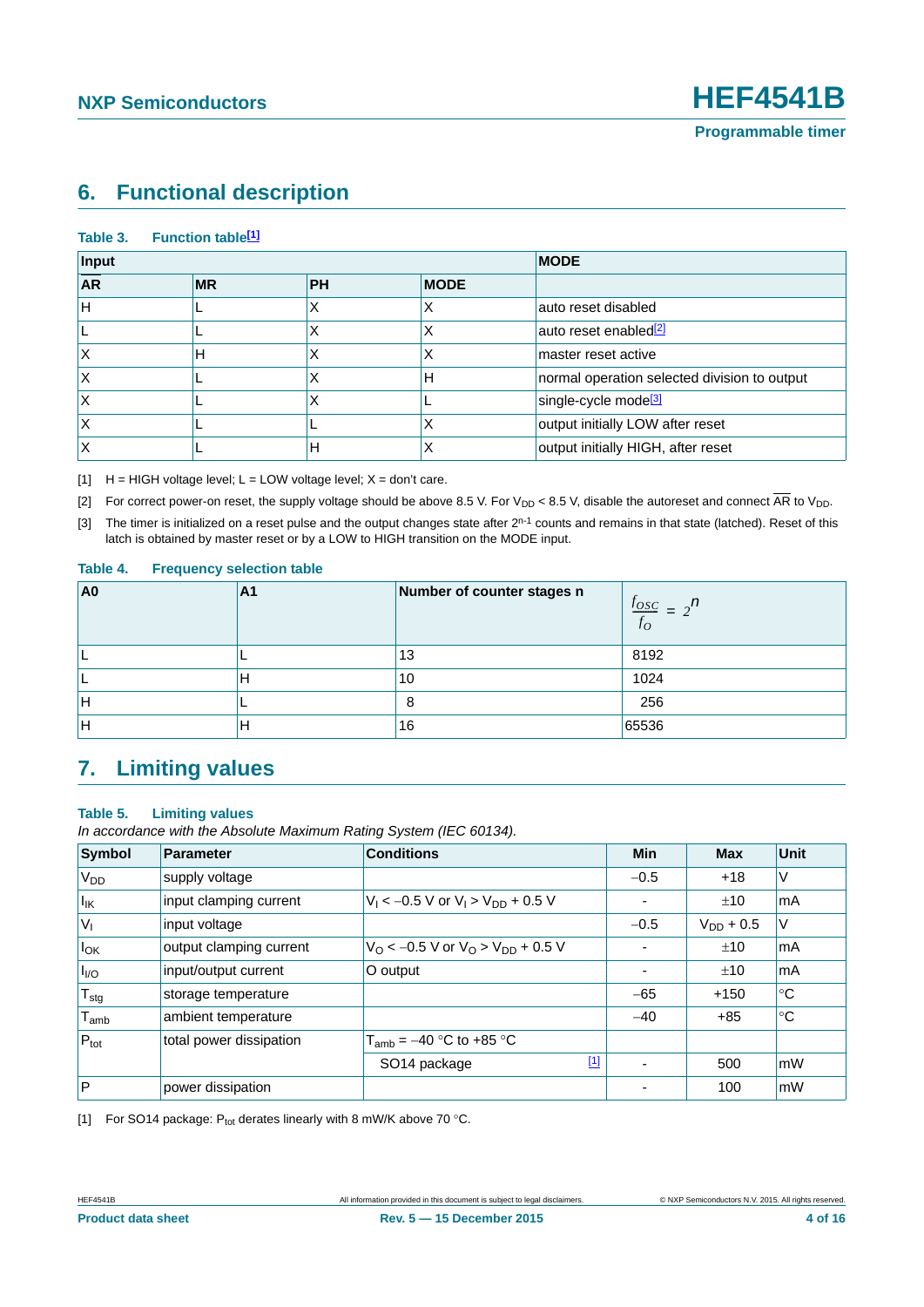### <span id="page-3-4"></span>**6. Functional description**

#### Table 3. Function table<sup>[1]</sup>

| Input     |           | <b>MODE</b> |             |                                              |
|-----------|-----------|-------------|-------------|----------------------------------------------|
| <b>AR</b> | <b>MR</b> | <b>PH</b>   | <b>MODE</b> |                                              |
| lН        |           |             |             | auto reset disabled                          |
|           |           |             | ∧           | auto reset enabled <sup>[2]</sup>            |
|           | н         |             | ∧           | master reset active                          |
|           |           |             | н           | normal operation selected division to output |
|           |           |             |             | single-cycle mode <sup>[3]</sup>             |
|           |           |             | ∧           | output initially LOW after reset             |
|           |           | Н           | х           | output initially HIGH, after reset           |

<span id="page-3-0"></span> $[H]$  H = HIGH voltage level; L = LOW voltage level; X = don't care.

<span id="page-3-1"></span>[2] For correct power-on reset, the supply voltage should be above 8.5 V. For  $V_{DD}$  < 8.5 V, disable the autoreset and connect  $\overline{AR}$  to  $V_{DD}$ .

<span id="page-3-2"></span>[3] The timer is initialized on a reset pulse and the output changes state after  $2^{n-1}$  counts and remains in that state (latched). Reset of this latch is obtained by master reset or by a LOW to HIGH transition on the MODE input.

#### **Table 4. Frequency selection table**

| A <sub>0</sub> | Α1 | Number of counter stages n | $\frac{f_{OSC}}{f} = 2^n$<br>$f_{O}$ |
|----------------|----|----------------------------|--------------------------------------|
|                |    | 13                         | 8192                                 |
|                |    | 10                         | 1024                                 |
| lΗ             |    | 8                          | 256                                  |
| Н              |    | 16                         | 65536                                |

### <span id="page-3-5"></span>**7. Limiting values**

#### **Table 5. Limiting values**

*In accordance with the Absolute Maximum Rating System (IEC 60134).*

| <b>Symbol</b>               | Parameter               | <b>Conditions</b>                                          | Min                      | <b>Max</b>     | <b>Unit</b> |
|-----------------------------|-------------------------|------------------------------------------------------------|--------------------------|----------------|-------------|
| V <sub>DD</sub>             | supply voltage          |                                                            | $-0.5$                   | $+18$          | ٧           |
| $I_{\mathsf{IK}}$           | input clamping current  | $V_1$ < -0.5 V or $V_1$ > $V_{DD}$ + 0.5 V                 | -                        | ±10            | mA          |
| $ V_1 $                     | input voltage           |                                                            | $-0.5$                   | $V_{DD}$ + 0.5 | V           |
| $I_{OK}$                    | output clamping current | $V_{\rm O}$ < -0.5 V or $V_{\rm O}$ > $V_{\rm DD}$ + 0.5 V |                          | ±10            | mA          |
| I <sub>VO</sub>             | input/output current    | O output                                                   | ۰                        | ±10            | mA          |
| $T_{\text{stg}}$            | storage temperature     |                                                            | $-65$                    | $+150$         | $^{\circ}C$ |
| $\mathsf{T}_{\mathsf{amb}}$ | ambient temperature     |                                                            | $-40$                    | $+85$          | °C          |
| $P_{\text{tot}}$            | total power dissipation | $T_{amb}$ = –40 °C to +85 °C                               |                          |                |             |
|                             |                         | $[1]$<br>SO <sub>14</sub> package                          | $\overline{\phantom{0}}$ | 500            | mW          |
| $\overline{P}$              | power dissipation       |                                                            |                          | 100            | mW          |

<span id="page-3-3"></span>[1] For SO14 package:  $P_{tot}$  derates linearly with 8 mW/K above 70 °C.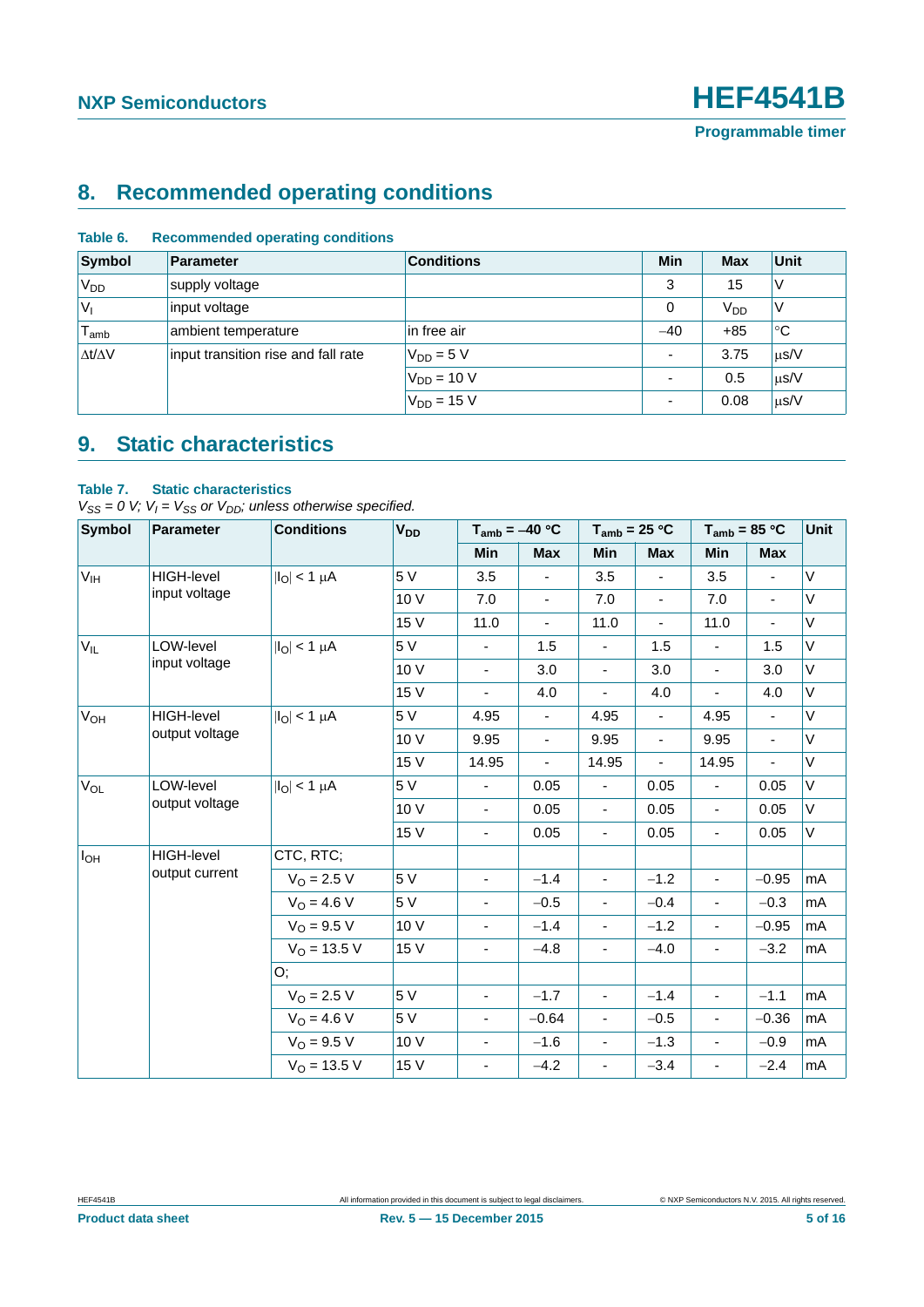## <span id="page-4-0"></span>**8. Recommended operating conditions**

| <b>Symbol</b>                | Parameter                           | <b>Conditions</b> | <b>Min</b>               | <b>Max</b>            | <b>Unit</b> |
|------------------------------|-------------------------------------|-------------------|--------------------------|-----------------------|-------------|
| 'V <sub>DD</sub>             | supply voltage                      |                   | 3                        | 15                    | ν           |
| $V_{I}$                      | input voltage                       |                   | 0                        | <b>V<sub>DD</sub></b> | ν           |
| ${\mathsf T}_{\mathsf{amb}}$ | ambient temperature                 | in free air       | $-40$                    | $+85$                 | $^{\circ}C$ |
| $\Delta t/\Delta V$          | input transition rise and fall rate | $V_{DD} = 5 V$    | $\overline{\phantom{a}}$ | 3.75                  | $\mu$ s/V   |
|                              |                                     | $V_{DD} = 10 V$   | $\overline{\phantom{0}}$ | 0.5                   | $\mu$ s/V   |
|                              |                                     | $V_{DD} = 15 V$   |                          | 0.08                  | $\mu$ s/V   |

#### **Table 6. Recommended operating conditions**

### <span id="page-4-1"></span>**9. Static characteristics**

#### **Table 7. Static characteristics**

 $V_{SS} = 0$  V;  $V_I = V_{SS}$  or  $V_{DD}$ ; unless otherwise specified.

| <b>Symbol</b>   | <b>Parameter</b>  | <b>Conditions</b><br><b>V<sub>DD</sub></b><br>$T_{amb} = -40 °C$ |      |                          |                          | $T_{amb}$ = 25 °C            | $T_{amb}$ = 85 °C        |                              | Unit           |        |
|-----------------|-------------------|------------------------------------------------------------------|------|--------------------------|--------------------------|------------------------------|--------------------------|------------------------------|----------------|--------|
|                 |                   |                                                                  |      | <b>Min</b>               | Max                      | Min                          | Max                      | <b>Min</b>                   | <b>Max</b>     |        |
| V <sub>IH</sub> | <b>HIGH-level</b> | $ I_{\text{O}} $ < 1 µA                                          | 5 V  | 3.5                      |                          | 3.5                          |                          | 3.5                          |                | V      |
|                 | input voltage     |                                                                  | 10 V | 7.0                      | $\blacksquare$           | 7.0                          | $\blacksquare$           | 7.0                          | $\blacksquare$ | V      |
|                 |                   |                                                                  | 15 V | 11.0                     | $\blacksquare$           | 11.0                         | $\blacksquare$           | 11.0                         | $\blacksquare$ | V      |
| $V_{IL}$        | LOW-level         | $ I_{\Omega}  < 1 \mu A$                                         | 5 V  | $\blacksquare$           | 1.5                      | $\blacksquare$               | 1.5                      | $\qquad \qquad \blacksquare$ | 1.5            | V      |
|                 | input voltage     |                                                                  | 10 V | $\overline{\phantom{a}}$ | 3.0                      | $\overline{\phantom{a}}$     | 3.0                      | $\overline{\phantom{a}}$     | 3.0            | $\vee$ |
|                 |                   |                                                                  | 15 V | $\overline{\phantom{a}}$ | 4.0                      | $\qquad \qquad \blacksquare$ | 4.0                      | $\qquad \qquad \blacksquare$ | 4.0            | V      |
| $V_{OH}$        | <b>HIGH-level</b> | $ I_{\text{O}} $ < 1 $\mu$ A                                     | 5 V  | 4.95                     | $\overline{\phantom{a}}$ | 4.95                         | $\overline{\phantom{a}}$ | 4.95                         | $\blacksquare$ | V      |
|                 | output voltage    |                                                                  | 10 V | 9.95                     | $\blacksquare$           | 9.95                         | $\blacksquare$           | 9.95                         | ÷,             | V      |
|                 |                   |                                                                  | 15 V | 14.95                    | ÷,                       | 14.95                        | $\blacksquare$           | 14.95                        | ÷,             | V      |
| $V_{OL}$        | LOW-level         | $ I_O  < 1 \mu A$                                                | 5 V  | $\blacksquare$           | 0.05                     | $\blacksquare$               | 0.05                     | $\overline{\phantom{0}}$     | 0.05           | V      |
|                 | output voltage    |                                                                  | 10 V | $\blacksquare$           | 0.05                     | $\blacksquare$               | 0.05                     | $\overline{\phantom{a}}$     | 0.05           | $\vee$ |
|                 |                   |                                                                  | 15 V | $\overline{\phantom{a}}$ | 0.05                     | $\overline{\phantom{a}}$     | 0.05                     | $\overline{\phantom{a}}$     | 0.05           | V      |
| $I_{OH}$        | <b>HIGH-level</b> | CTC, RTC;                                                        |      |                          |                          |                              |                          |                              |                |        |
|                 | output current    | $V_{O} = 2.5 V$                                                  | 5 V  | $\overline{\phantom{a}}$ | $-1.4$                   | $\blacksquare$               | $-1.2$                   | ÷,                           | $-0.95$        | mA     |
|                 |                   | $V_0 = 4.6 V$                                                    | 5 V  | $\overline{\phantom{a}}$ | $-0.5$                   | $\blacksquare$               | $-0.4$                   | $\blacksquare$               | $-0.3$         | mA     |
|                 |                   | $V_{\Omega} = 9.5 V$                                             | 10 V | $\blacksquare$           | $-1.4$                   | $\blacksquare$               | $-1.2$                   | ÷,                           | $-0.95$        | mA     |
|                 |                   | $V_O = 13.5 V$                                                   | 15 V | $\blacksquare$           | $-4.8$                   | $\blacksquare$               | $-4.0$                   | $\blacksquare$               | $-3.2$         | mA     |
|                 |                   | O;                                                               |      |                          |                          |                              |                          |                              |                |        |
|                 |                   | $V_{\Omega} = 2.5 V$                                             | 5 V  | ÷,                       | $-1.7$                   | $\blacksquare$               | $-1.4$                   | ÷,                           | $-1.1$         | mA     |
|                 |                   | $V_O = 4.6 V$                                                    | 5 V  | $\overline{\phantom{a}}$ | $-0.64$                  | $\blacksquare$               | $-0.5$                   | $\overline{\phantom{a}}$     | $-0.36$        | mA     |
|                 |                   | $V_{O} = 9.5 V$                                                  | 10 V | $\blacksquare$           | $-1.6$                   | $\overline{\phantom{a}}$     | $-1.3$                   | $\overline{\phantom{a}}$     | $-0.9$         | mA     |
|                 |                   | $V_{O}$ = 13.5 V                                                 | 15 V |                          | $-4.2$                   | $\overline{\phantom{0}}$     | $-3.4$                   | $\qquad \qquad \blacksquare$ | $-2.4$         | mA     |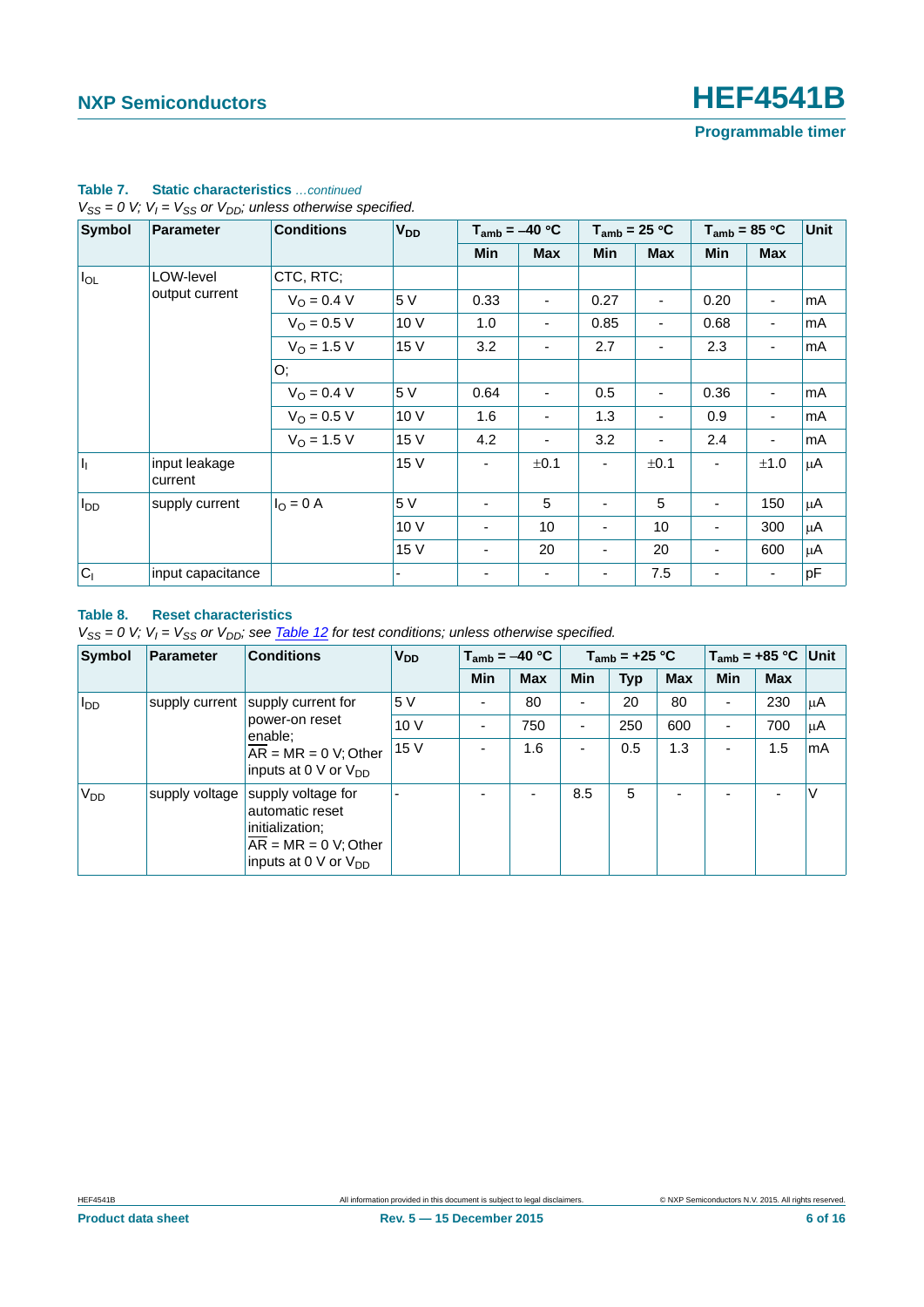| <b>Symbol</b> | <b>Parameter</b>         | <b>Conditions</b>    | <b>V<sub>DD</sub></b> |            | $T_{amb} = -40 °C$       |                          | $T_{amb}$ = 25 °C |                          | $T_{amb}$ = 85 °C        | <b>Unit</b> |
|---------------|--------------------------|----------------------|-----------------------|------------|--------------------------|--------------------------|-------------------|--------------------------|--------------------------|-------------|
|               |                          |                      |                       | <b>Min</b> | <b>Max</b>               | <b>Min</b>               | <b>Max</b>        | <b>Min</b>               | <b>Max</b>               |             |
| $I_{OL}$      | LOW-level                | CTC, RTC;            |                       |            |                          |                          |                   |                          |                          |             |
|               | output current           | $V_O = 0.4 V$        | 5 V                   | 0.33       | $\blacksquare$           | 0.27                     | ٠                 | 0.20                     | $\blacksquare$           | mA          |
|               |                          | $V_O = 0.5 V$        | 10 V                  | 1.0        | $\overline{\phantom{a}}$ | 0.85                     | ۰                 | 0.68                     | $\overline{\phantom{a}}$ | mA          |
|               |                          | $V_{O}$ = 1.5 V      | 15 V                  | 3.2        | $\overline{\phantom{a}}$ | 2.7                      | -                 | 2.3                      | $\overline{\phantom{a}}$ | mA          |
|               |                          | O;                   |                       |            |                          |                          |                   |                          |                          |             |
|               |                          | $V_{\Omega} = 0.4 V$ | 5 V                   | 0.64       | $\overline{\phantom{a}}$ | 0.5                      | -                 | 0.36                     | $\overline{\phantom{a}}$ | mA          |
|               |                          | $V_{O} = 0.5 V$      | 10 V                  | 1.6        | $\overline{\phantom{a}}$ | 1.3                      | -                 | 0.9                      | $\overline{\phantom{a}}$ | mA          |
|               |                          | $V_{O}$ = 1.5 V      | 15 V                  | 4.2        | $\overline{\phantom{a}}$ | 3.2                      |                   | 2.4                      | $\overline{\phantom{a}}$ | mA          |
| h             | input leakage<br>current |                      | 15 V                  |            | ±0.1                     | ۰                        | ±0.1              | $\overline{\phantom{a}}$ | ±1.0                     | μA          |
| $I_{DD}$      | supply current           | $I_{\rm O} = 0$ A    | 5 V                   |            | 5                        | $\overline{\phantom{a}}$ | 5                 | ۰                        | 150                      | $\mu$ A     |
|               |                          |                      | 10 V                  |            | 10                       | $\blacksquare$           | 10 <sup>1</sup>   | ٠                        | 300                      | μA          |
|               |                          |                      | 15 V                  |            | 20                       | $\overline{\phantom{a}}$ | 20                | ٠                        | 600                      | $\mu$ A     |
| $ C_1 $       | input capacitance        |                      |                       |            | $\overline{\phantom{a}}$ | $\overline{\phantom{a}}$ | 7.5               | ۰                        | $\overline{\phantom{a}}$ | pF          |

#### **Table 7. Static characteristics** *…continued*  $V_{SS} = 0$  V;  $V_I = V_{SS}$  or  $V_{DD}$ ; unless otherwise specified.

#### **Table 8. Reset characteristics**

*V<sub>SS</sub>* = 0 *V; V<sub>I</sub>* = *V<sub>SS</sub>* or *V<sub>DD</sub>; see Table 12 for test conditions; unless otherwise specified.* 

| Symbol                 | Parameter      | <b>Conditions</b>                                                                                               | <b>V<sub>DD</sub></b> | $T_{amb} = -40 °C$ |                          |                          | $T_{amb}$ = +25 °C |                          | $T_{amb}$ = +85 °C Unit |            |         |
|------------------------|----------------|-----------------------------------------------------------------------------------------------------------------|-----------------------|--------------------|--------------------------|--------------------------|--------------------|--------------------------|-------------------------|------------|---------|
|                        |                |                                                                                                                 |                       | <b>Min</b>         | <b>Max</b>               | <b>Min</b>               | <b>Typ</b>         | <b>Max</b>               | <b>Min</b>              | <b>Max</b> |         |
| <b>I</b> <sub>DD</sub> | supply current | supply current for                                                                                              | 5 V                   | ٠                  | 80                       | $\overline{\phantom{0}}$ | 20                 | 80                       | ٠                       | 230        | $\mu$ A |
|                        |                | power-on reset<br>enable:                                                                                       | 10V                   | ٠                  | 750                      | $\overline{\phantom{0}}$ | 250                | 600                      | -                       | 700        | $\mu$ A |
|                        |                | $AR = MR = 0$ V; Other<br>inputs at 0 V or $V_{DD}$                                                             | 15 V                  | ٠                  | 1.6                      | $\blacksquare$           | 0.5                | 1.3                      | -                       | 1.5        | mA      |
| V <sub>DD</sub>        | supply voltage | supply voltage for<br>automatic reset<br>initialization;<br>$AR = MR = 0 V; Other$<br>inputs at 0 V or $V_{DD}$ |                       | ۰                  | $\overline{\phantom{a}}$ | 8.5                      | 5                  | $\overline{\phantom{0}}$ |                         |            | $\vee$  |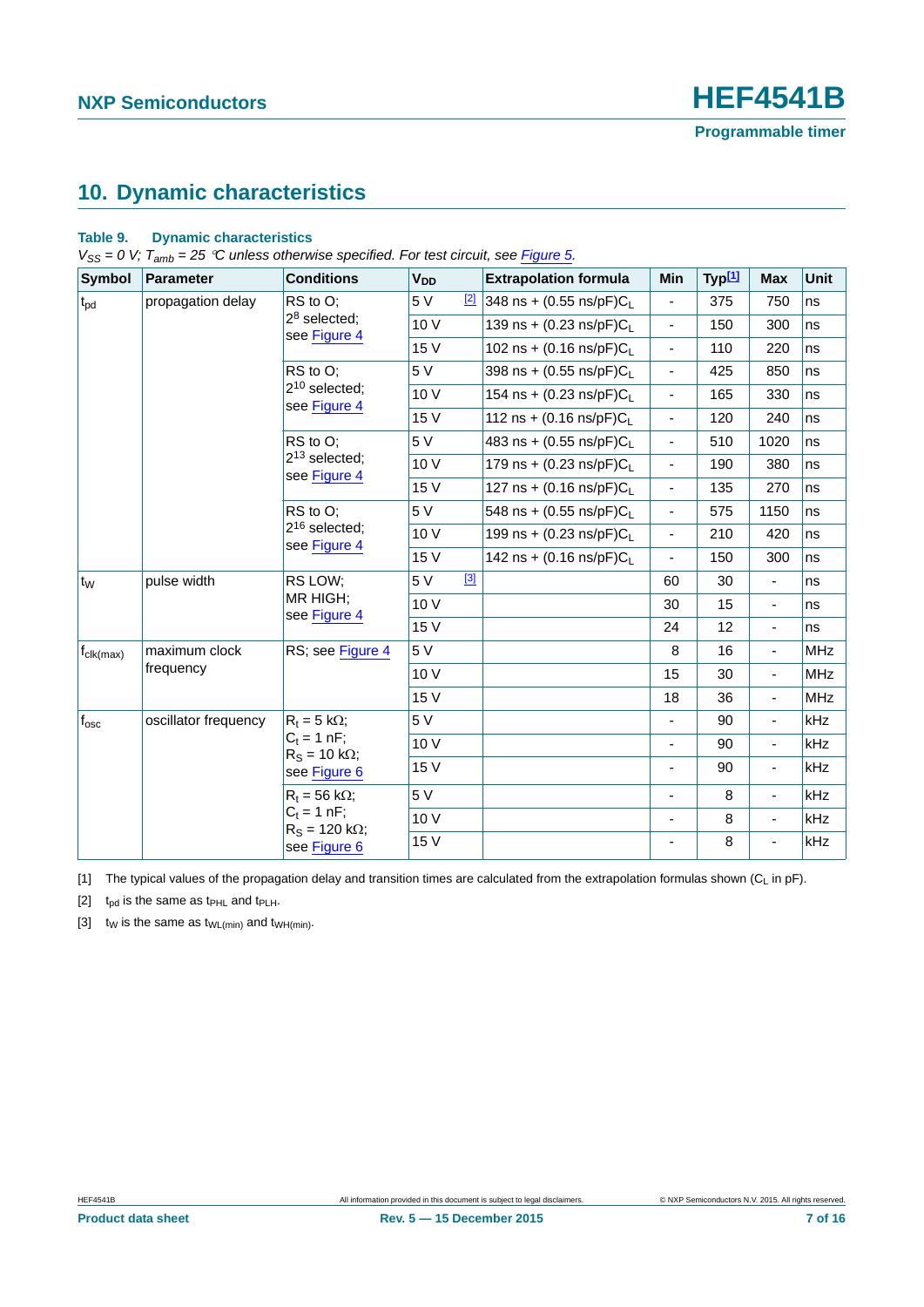### <span id="page-6-3"></span>**10. Dynamic characteristics**

#### **Table 9. Dynamic characteristics**

*V<sub>SS</sub>* = 0 *V;*  $T_{amb}$  = 25 °C unless otherwise specified. For test circuit, see *Figure 5*.

| <b>Symbol</b>         | <b>Parameter</b>     | <b>Conditions</b>                      | <b>V<sub>DD</sub></b>                | <b>Extrapolation formula</b>         | Min                      | Typ <sup>[1]</sup> | <b>Max</b>               | <b>Unit</b> |
|-----------------------|----------------------|----------------------------------------|--------------------------------------|--------------------------------------|--------------------------|--------------------|--------------------------|-------------|
| $t_{\text{pd}}$       | propagation delay    | RS to O;                               | 5 V<br>$[2]$                         | 348 ns + (0.55 ns/pF) $C_L$          | ÷.                       | 375                | 750                      | ns          |
|                       |                      | $28$ selected;<br>see Figure 4         | 10 V                                 | 139 ns + $(0.23 \text{ ns/pF})C_{L}$ | $\blacksquare$           | 150                | 300                      | ns          |
|                       |                      | 15 V                                   | 102 ns + $(0.16 \text{ ns/pF})C_{L}$ | $\blacksquare$                       | 110                      | 220                | ns                       |             |
|                       |                      | RS to O:                               | 5 V                                  | 398 ns + $(0.55 \text{ ns/pF})C_1$   | ÷,                       | 425                | 850                      | ns          |
|                       |                      | $2^{10}$ selected;<br>see Figure 4     | 10 V                                 | 154 ns + $(0.23 \text{ ns/pF})C_1$   | ٠                        | 165                | 330                      | ns          |
|                       |                      |                                        | 15 V                                 | 112 ns + $(0.16 \text{ ns/pF})C_1$   | $\overline{\phantom{0}}$ | 120                | 240                      | ns          |
|                       |                      | RS to O;                               | 5 V                                  | 483 ns + $(0.55 \text{ ns/pF})C_L$   | $\frac{1}{2}$            | 510                | 1020                     | ns          |
|                       |                      | $2^{13}$ selected;<br>see Figure 4     | 10 V                                 | 179 ns + $(0.23 \text{ ns/pF})C_{L}$ | ÷,                       | 190                | 380                      | ns          |
|                       |                      |                                        | 15 V                                 | 127 ns + $(0.16 \text{ ns/pF})C_L$   | $\overline{\phantom{a}}$ | 135                | 270                      | ns          |
|                       |                      | RS to O:                               | 5V                                   | 548 ns + $(0.55 \text{ ns/pF})C_{L}$ | $\frac{1}{2}$            | 575                | 1150                     | ns          |
|                       |                      | $2^{16}$ selected;<br>see Figure 4     | 10 V                                 | 199 ns + $(0.23 \text{ ns/pF})C_1$   | $\frac{1}{2}$            | 210                | 420                      | ns          |
|                       |                      |                                        | 15 V                                 | 142 ns + $(0.16 \text{ ns/pF})C_1$   |                          | 150                | 300                      | ns          |
| t <sub>w</sub>        | pulse width          | RS LOW;                                | $[3]$<br>5 V                         |                                      | 60                       | 30                 | $\blacksquare$           | ns          |
|                       |                      | MR HIGH;<br>see Figure 4               | 10 V                                 |                                      | 30                       | 15                 | $\overline{\phantom{a}}$ | ns          |
|                       |                      |                                        | 15 V                                 |                                      | 24                       | 12                 | $\blacksquare$           | ns          |
| $f_{\text{clk(max)}}$ | maximum clock        | RS; see Figure 4                       | 5 V                                  |                                      | 8                        | 16                 | $\overline{\phantom{a}}$ | <b>MHz</b>  |
|                       | frequency            |                                        | 10 V                                 |                                      | 15                       | 30                 | $\blacksquare$           | <b>MHz</b>  |
|                       |                      |                                        | 15 V                                 |                                      | 18                       | 36                 | $\blacksquare$           | <b>MHz</b>  |
| $f_{\rm osc}$         | oscillator frequency | $R_t = 5 k\Omega$ ;                    | 5 V                                  |                                      | $\overline{\phantom{0}}$ | 90                 | $\overline{\phantom{a}}$ | kHz         |
|                       |                      | $C_t = 1 nF$ ;<br>$R_S = 10 k\Omega$ ; | 10 V                                 |                                      | ۰.                       | 90                 | $\blacksquare$           | kHz         |
|                       |                      | see Figure 6                           | 15 V                                 |                                      | -                        | 90                 | $\blacksquare$           | kHz         |
|                       |                      | $R_t = 56$ kΩ;                         | 5 V                                  |                                      | $\blacksquare$           | 8                  | $\blacksquare$           | kHz         |
|                       |                      | $C_t = 1 nF;$<br>$R_S = 120 k\Omega$ ; | 10 V                                 |                                      |                          | 8                  | $\blacksquare$           | kHz         |
|                       |                      | see Figure 6                           | 15 V                                 |                                      | -                        | 8                  | $\overline{\phantom{a}}$ | kHz         |
|                       |                      |                                        |                                      |                                      |                          |                    |                          |             |

<span id="page-6-0"></span>[1] The typical values of the propagation delay and transition times are calculated from the extrapolation formulas shown ( $C_L$  in pF).

<span id="page-6-1"></span>[2]  $t_{pd}$  is the same as  $t_{PHL}$  and  $t_{PLH}$ .

<span id="page-6-2"></span>[3]  $t_W$  is the same as  $t_{WL(min)}$  and  $t_{WH(min)}$ .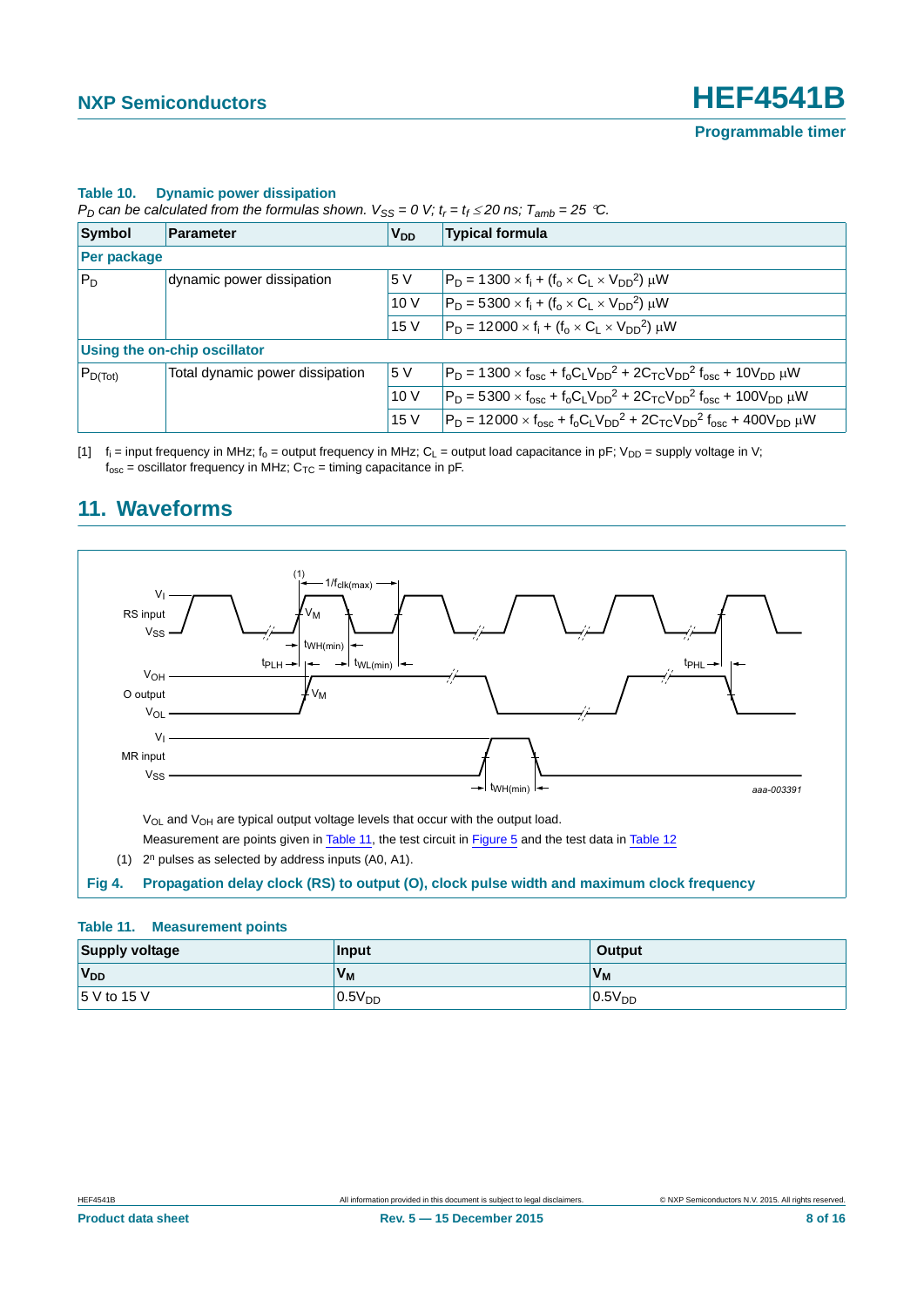#### **Table 10. Dynamic power dissipation**

*P<sub>D</sub>* can be calculated from the formulas shown.  $V_{SS} = 0$  V;  $t_r = t_f \le 20$  ns;  $T_{amb} = 25$  °C.

| Symbol             | Parameter                           | V <sub>DD</sub> | <b>Typical formula</b>                                                                        |
|--------------------|-------------------------------------|-----------------|-----------------------------------------------------------------------------------------------|
| <b>Per package</b> |                                     |                 |                                                                                               |
| $P_D$              | dynamic power dissipation           | 5 V             | $P_D = 1300 \times f_i + (f_0 \times C_1 \times V_{DD}^2) \mu W$                              |
|                    |                                     | 10V             | $P_D = 5300 \times f_i + (f_o \times C_L \times V_{DD}^2) \mu W$                              |
|                    |                                     | 15 V            | $P_D = 12000 \times f_i + (f_o \times C_1 \times V_{DD}^2) \mu W$                             |
|                    | <b>Using the on-chip oscillator</b> |                 |                                                                                               |
| $P_{D(Tot)}$       | Total dynamic power dissipation     | 5 V             | $P_D = 1300 \times f_{osc} + f_0 C_1 V_{DD}^2 + 2C_{TC} V_{DD}^2 f_{osc} + 10V_{DD} \mu W$    |
|                    |                                     | 10V             | $P_D = 5300 \times f_{osc} + f_0 C_L V_{DD}^2 + 2C_{TC} V_{DD}^2 f_{osc} + 100 V_{DD} \mu W$  |
|                    |                                     | 15 V            | $P_D = 12000 \times f_{osc} + f_0 C_L V_{DD}^2 + 2C_{TC} V_{DD}^2 f_{osc} + 400 V_{DD} \mu W$ |

[1]  $f_i$  = input frequency in MHz;  $f_0$  = output frequency in MHz; C<sub>L</sub> = output load capacitance in pF; V<sub>DD</sub> = supply voltage in V;  $f_{\text{osc}}$  = oscillator frequency in MHz;  $C_{\text{TC}}$  = timing capacitance in pF.



### <span id="page-7-2"></span>**11. Waveforms**

#### <span id="page-7-1"></span><span id="page-7-0"></span>**Table 11. Measurement points**

| <b>Supply voltage</b> | Input              | <b>Output</b>      |
|-----------------------|--------------------|--------------------|
| V <sub>DD</sub>       | V <sub>M</sub>     | 'V <sub>M</sub>    |
| 5 V to 15 V           | 0.5V <sub>DD</sub> | 0.5V <sub>DD</sub> |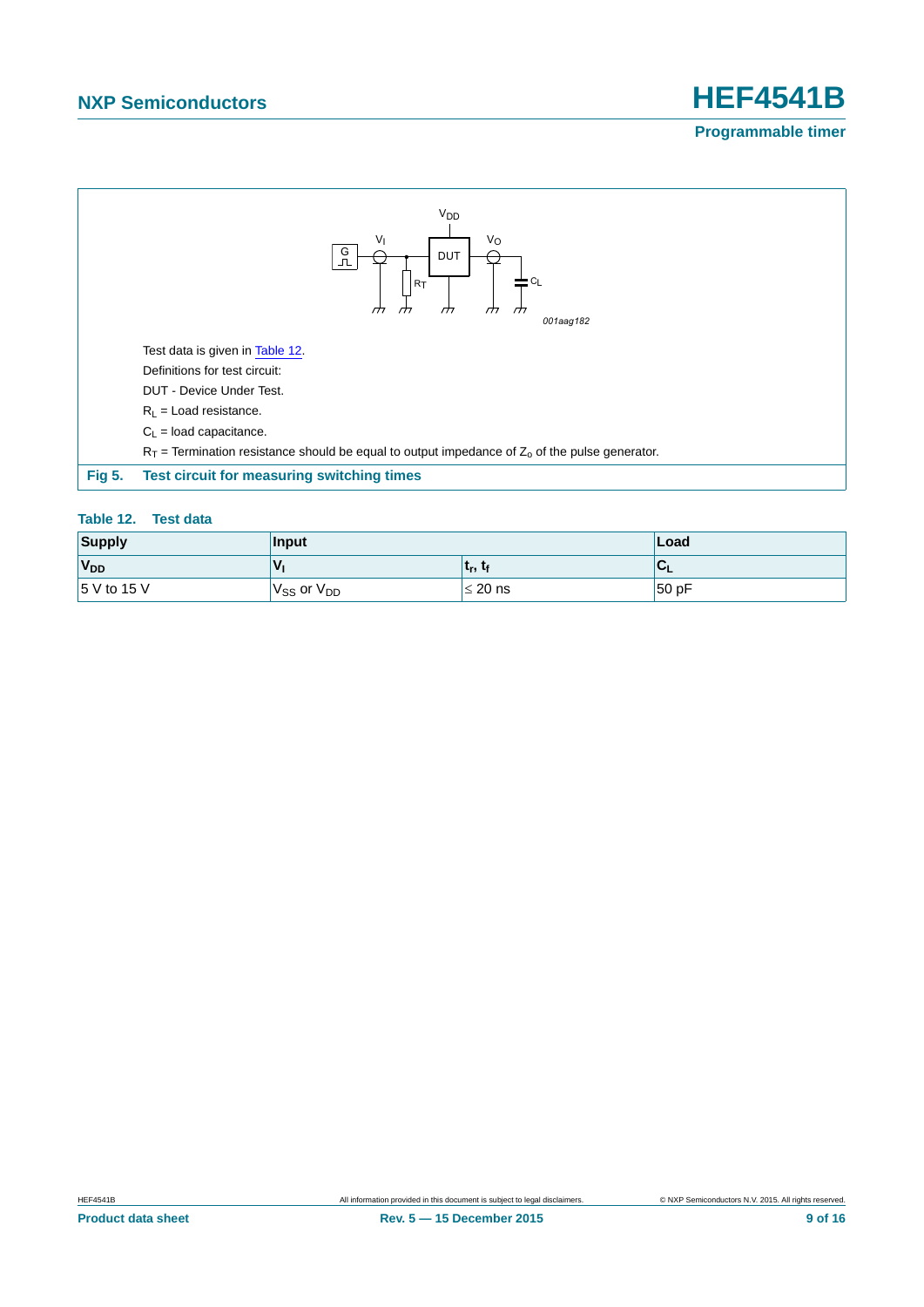

#### <span id="page-8-1"></span><span id="page-8-0"></span>**Table 12. Test data**

| <b>Supply</b>   | Input                |                                 | Load |
|-----------------|----------------------|---------------------------------|------|
| V <sub>DD</sub> |                      | ւ <sub>r</sub> , ւ <sub>f</sub> | ືບ⊾  |
| 5 V to 15 V     | $V_{SS}$ or $V_{DD}$ | $\leq$ 20 ns                    | 50pF |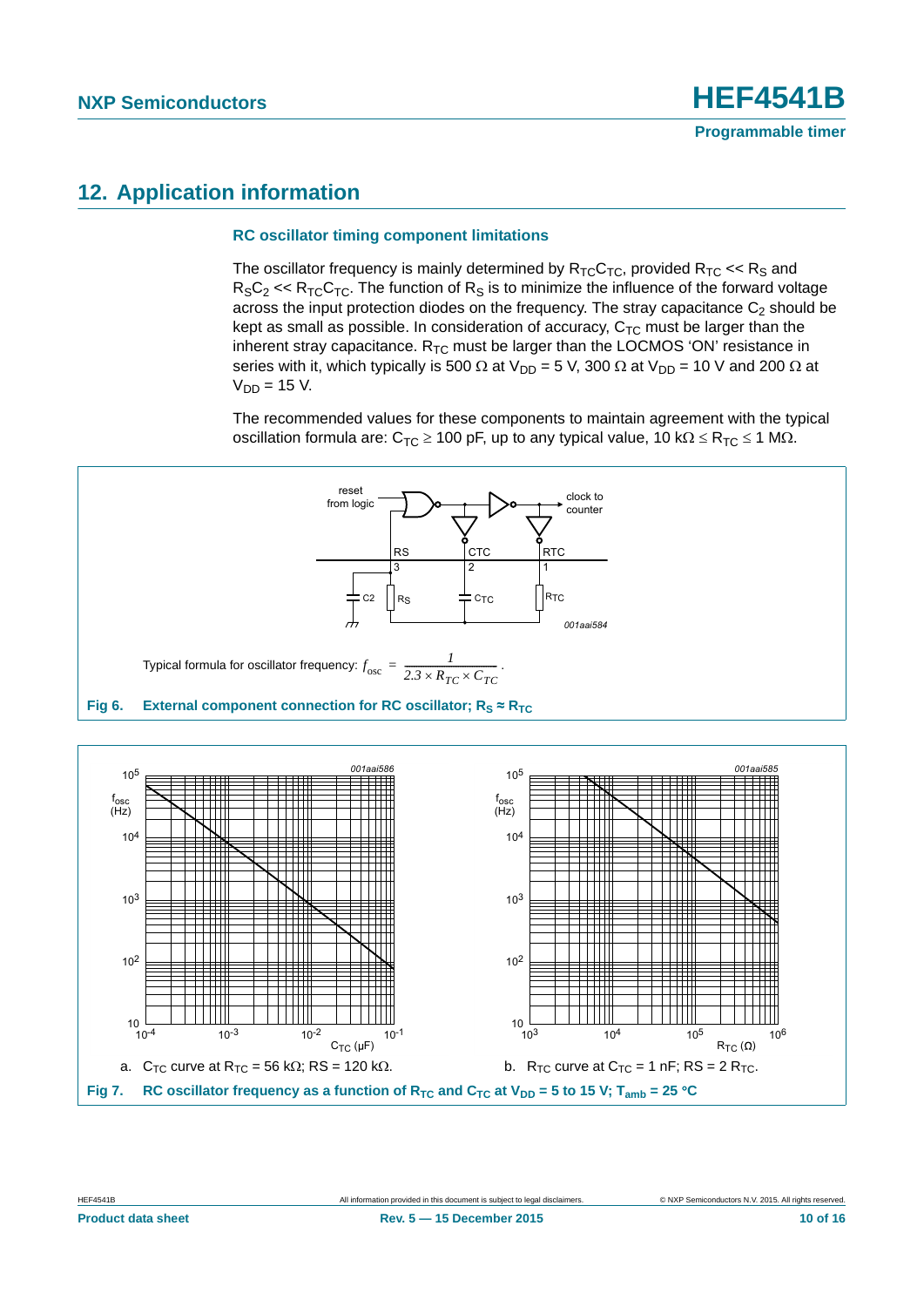### <span id="page-9-1"></span>**12. Application information**

#### <span id="page-9-2"></span>**RC oscillator timing component limitations**

The oscillator frequency is mainly determined by  $R_{TC}C_{TC}$ , provided  $R_{TC} \ll R_S$  and  $R_S C_2 \ll R_{TC} C_{TC}$ . The function of  $R_S$  is to minimize the influence of the forward voltage across the input protection diodes on the frequency. The stray capacitance  $C_2$  should be kept as small as possible. In consideration of accuracy,  $C_{TC}$  must be larger than the inherent stray capacitance.  $R_{TC}$  must be larger than the LOCMOS 'ON' resistance in series with it, which typically is 500  $\Omega$  at V<sub>DD</sub> = 5 V, 300  $\Omega$  at V<sub>DD</sub> = 10 V and 200  $\Omega$  at  $V_{DD} = 15$  V.

The recommended values for these components to maintain agreement with the typical oscillation formula are:  $C_{TC} \ge 100$  pF, up to any typical value,  $10 \text{ k}\Omega \le R_{TC} \le 1 \text{ M}\Omega$ .



<span id="page-9-0"></span>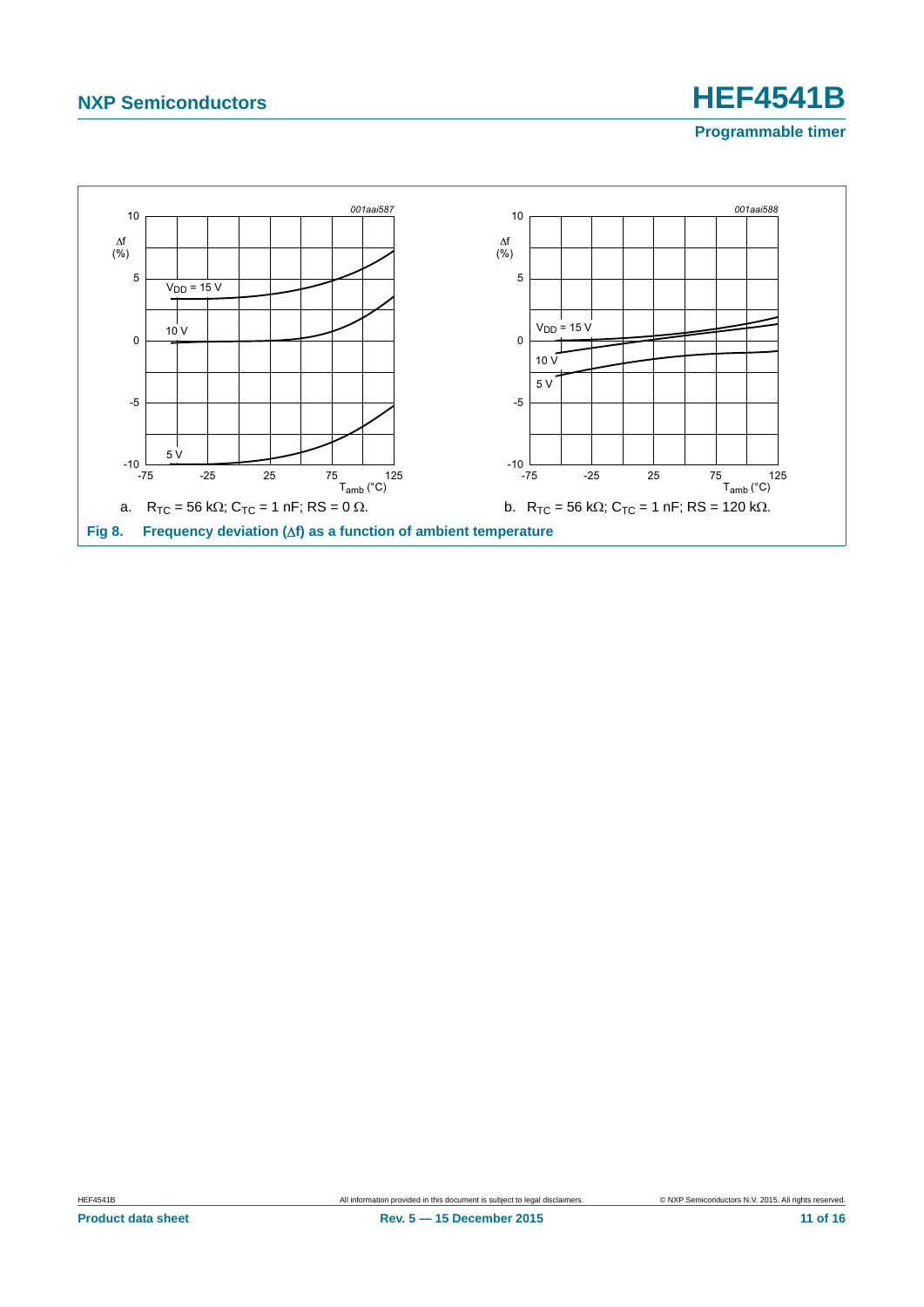**Programmable timer**

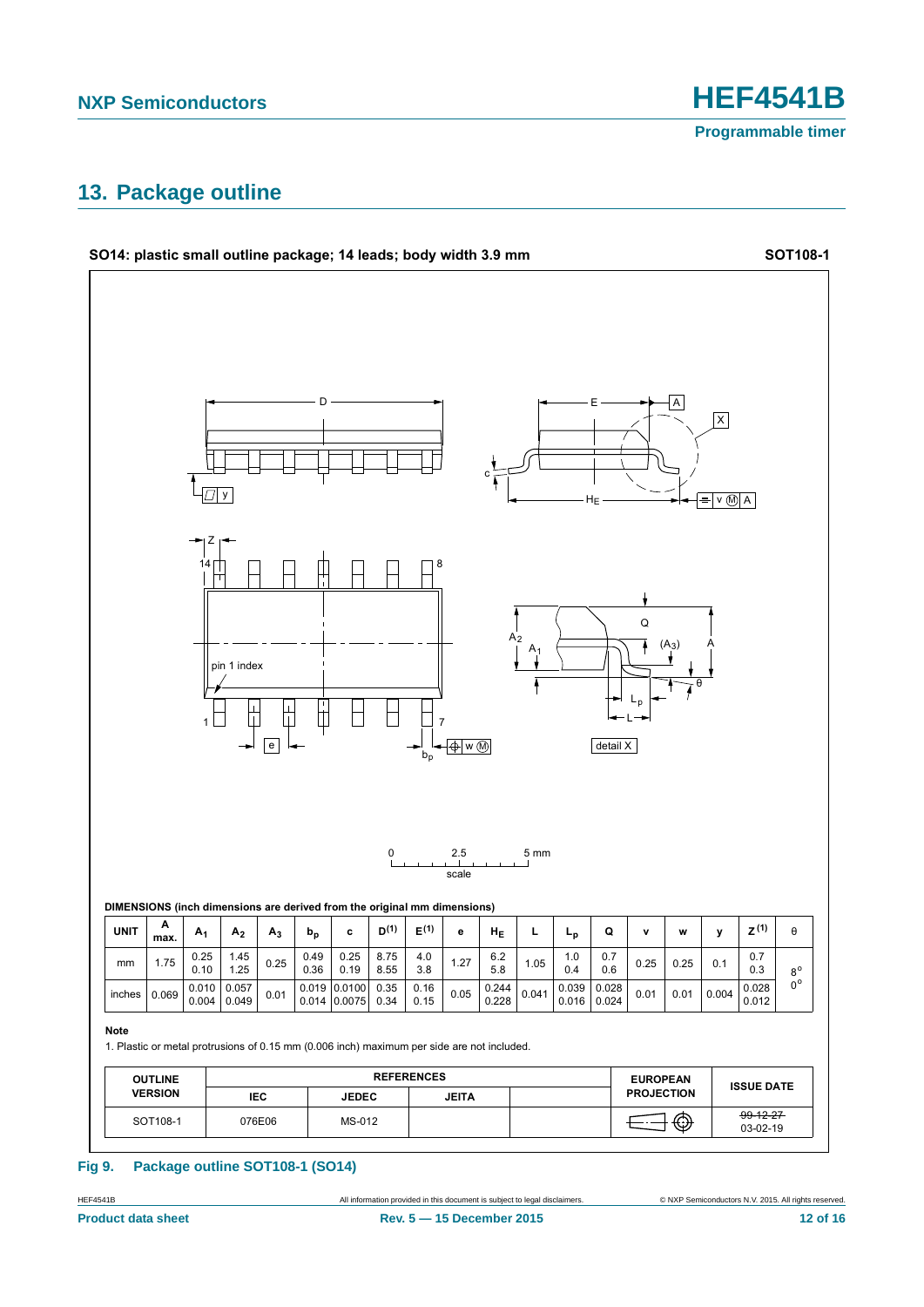**Programmable timer**

### <span id="page-11-0"></span>**13. Package outline**



#### **Fig 9. Package outline SOT108-1 (SO14)**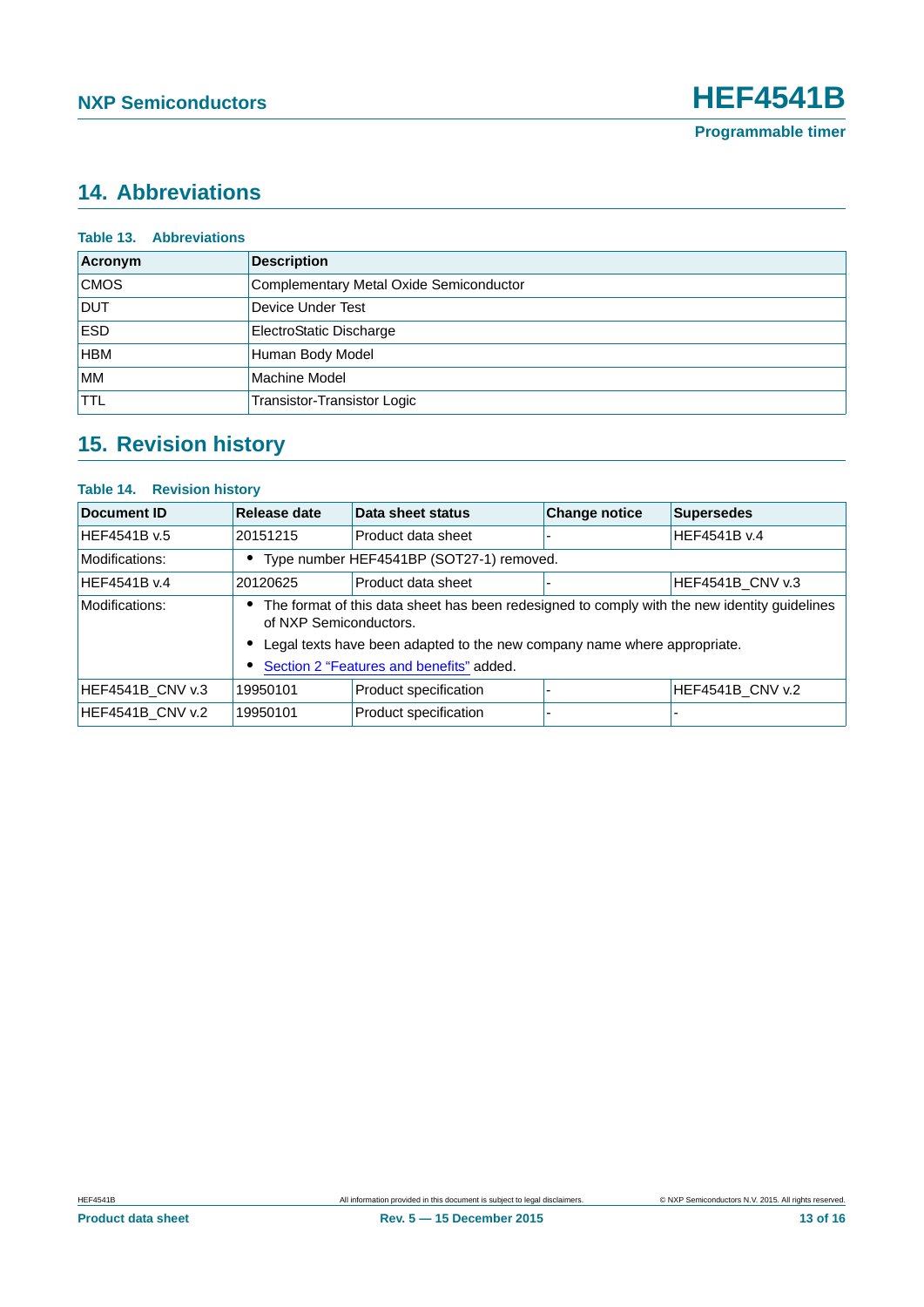### <span id="page-12-0"></span>**14. Abbreviations**

| <b>Table 13. Abbreviations</b> |                                         |
|--------------------------------|-----------------------------------------|
| Acronym                        | <b>Description</b>                      |
| <b>CMOS</b>                    | Complementary Metal Oxide Semiconductor |
| <b>DUT</b>                     | Device Under Test                       |
| <b>ESD</b>                     | ElectroStatic Discharge                 |
| <b>HBM</b>                     | Human Body Model                        |
| <b>MM</b>                      | Machine Model                           |
| <b>TTL</b>                     | <b>Transistor-Transistor Logic</b>      |

# <span id="page-12-1"></span>**15. Revision history**

#### **Table 14. Revision history**

| Document ID      | Release date                                                                                                           | Data sheet status     | <b>Change notice</b> | <b>Supersedes</b>       |  |
|------------------|------------------------------------------------------------------------------------------------------------------------|-----------------------|----------------------|-------------------------|--|
| HEF4541B v.5     | 20151215                                                                                                               | Product data sheet    |                      | HEF4541B v.4            |  |
| Modifications:   | Type number HEF4541BP (SOT27-1) removed.                                                                               |                       |                      |                         |  |
| HEF4541B v.4     | 20120625                                                                                                               | Product data sheet    |                      | HEF4541B_CNV v.3        |  |
| Modifications:   | The format of this data sheet has been redesigned to comply with the new identity guidelines<br>of NXP Semiconductors. |                       |                      |                         |  |
|                  | Legal texts have been adapted to the new company name where appropriate.                                               |                       |                      |                         |  |
|                  | Section 2 "Features and benefits" added.                                                                               |                       |                      |                         |  |
| HEF4541B CNV v.3 | 19950101                                                                                                               | Product specification |                      | <b>HEF4541B CNV v.2</b> |  |
| HEF4541B CNV v.2 | 19950101                                                                                                               | Product specification |                      |                         |  |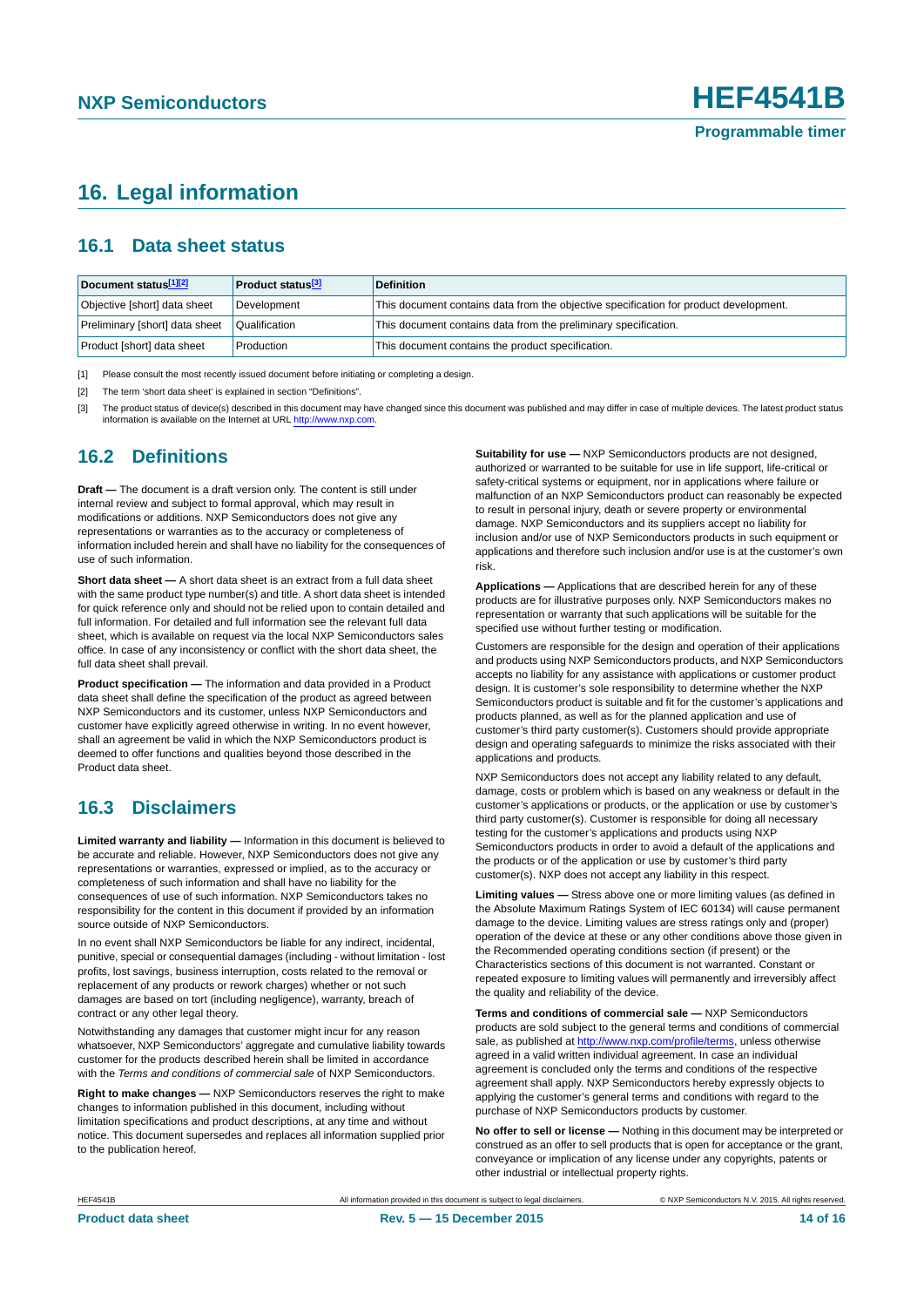### <span id="page-13-3"></span>**16. Legal information**

#### <span id="page-13-4"></span>**16.1 Data sheet status**

| Document status[1][2]          | <b>Product status</b> <sup>[3]</sup> | <b>Definition</b>                                                                     |
|--------------------------------|--------------------------------------|---------------------------------------------------------------------------------------|
| Objective [short] data sheet   | Development                          | This document contains data from the objective specification for product development. |
| Preliminary [short] data sheet | Qualification                        | This document contains data from the preliminary specification.                       |
| Product [short] data sheet     | Production                           | This document contains the product specification.                                     |

<span id="page-13-0"></span>[1] Please consult the most recently issued document before initiating or completing a design.

<span id="page-13-1"></span>[2] The term 'short data sheet' is explained in section "Definitions".

<span id="page-13-2"></span>[3] The product status of device(s) described in this document may have changed since this document was published and may differ in case of multiple devices. The latest product status<br>information is available on the Intern

#### <span id="page-13-5"></span>**16.2 Definitions**

**Draft —** The document is a draft version only. The content is still under internal review and subject to formal approval, which may result in modifications or additions. NXP Semiconductors does not give any representations or warranties as to the accuracy or completeness of information included herein and shall have no liability for the consequences of use of such information.

**Short data sheet —** A short data sheet is an extract from a full data sheet with the same product type number(s) and title. A short data sheet is intended for quick reference only and should not be relied upon to contain detailed and full information. For detailed and full information see the relevant full data sheet, which is available on request via the local NXP Semiconductors sales office. In case of any inconsistency or conflict with the short data sheet, the full data sheet shall prevail.

**Product specification —** The information and data provided in a Product data sheet shall define the specification of the product as agreed between NXP Semiconductors and its customer, unless NXP Semiconductors and customer have explicitly agreed otherwise in writing. In no event however, shall an agreement be valid in which the NXP Semiconductors product is deemed to offer functions and qualities beyond those described in the Product data sheet.

#### <span id="page-13-6"></span>**16.3 Disclaimers**

**Limited warranty and liability —** Information in this document is believed to be accurate and reliable. However, NXP Semiconductors does not give any representations or warranties, expressed or implied, as to the accuracy or completeness of such information and shall have no liability for the consequences of use of such information. NXP Semiconductors takes no responsibility for the content in this document if provided by an information source outside of NXP Semiconductors.

In no event shall NXP Semiconductors be liable for any indirect, incidental, punitive, special or consequential damages (including - without limitation - lost profits, lost savings, business interruption, costs related to the removal or replacement of any products or rework charges) whether or not such damages are based on tort (including negligence), warranty, breach of contract or any other legal theory.

Notwithstanding any damages that customer might incur for any reason whatsoever, NXP Semiconductors' aggregate and cumulative liability towards customer for the products described herein shall be limited in accordance with the *Terms and conditions of commercial sale* of NXP Semiconductors.

**Right to make changes —** NXP Semiconductors reserves the right to make changes to information published in this document, including without limitation specifications and product descriptions, at any time and without notice. This document supersedes and replaces all information supplied prior to the publication hereof.

**Suitability for use —** NXP Semiconductors products are not designed, authorized or warranted to be suitable for use in life support, life-critical or safety-critical systems or equipment, nor in applications where failure or malfunction of an NXP Semiconductors product can reasonably be expected to result in personal injury, death or severe property or environmental damage. NXP Semiconductors and its suppliers accept no liability for inclusion and/or use of NXP Semiconductors products in such equipment or applications and therefore such inclusion and/or use is at the customer's own risk.

**Applications —** Applications that are described herein for any of these products are for illustrative purposes only. NXP Semiconductors makes no representation or warranty that such applications will be suitable for the specified use without further testing or modification.

Customers are responsible for the design and operation of their applications and products using NXP Semiconductors products, and NXP Semiconductors accepts no liability for any assistance with applications or customer product design. It is customer's sole responsibility to determine whether the NXP Semiconductors product is suitable and fit for the customer's applications and products planned, as well as for the planned application and use of customer's third party customer(s). Customers should provide appropriate design and operating safeguards to minimize the risks associated with their applications and products.

NXP Semiconductors does not accept any liability related to any default, damage, costs or problem which is based on any weakness or default in the customer's applications or products, or the application or use by customer's third party customer(s). Customer is responsible for doing all necessary testing for the customer's applications and products using NXP Semiconductors products in order to avoid a default of the applications and the products or of the application or use by customer's third party customer(s). NXP does not accept any liability in this respect.

**Limiting values —** Stress above one or more limiting values (as defined in the Absolute Maximum Ratings System of IEC 60134) will cause permanent damage to the device. Limiting values are stress ratings only and (proper) operation of the device at these or any other conditions above those given in the Recommended operating conditions section (if present) or the Characteristics sections of this document is not warranted. Constant or repeated exposure to limiting values will permanently and irreversibly affect the quality and reliability of the device.

**Terms and conditions of commercial sale —** NXP Semiconductors products are sold subject to the general terms and conditions of commercial sale, as published at<http://www.nxp.com/profile/terms>, unless otherwise agreed in a valid written individual agreement. In case an individual agreement is concluded only the terms and conditions of the respective agreement shall apply. NXP Semiconductors hereby expressly objects to applying the customer's general terms and conditions with regard to the purchase of NXP Semiconductors products by customer.

**No offer to sell or license —** Nothing in this document may be interpreted or construed as an offer to sell products that is open for acceptance or the grant, conveyance or implication of any license under any copyrights, patents or other industrial or intellectual property rights.

HEF4541B All information provided in this document is subject to legal disclaimers. © NXP Semiconductors N.V. 2015. All rights reserved.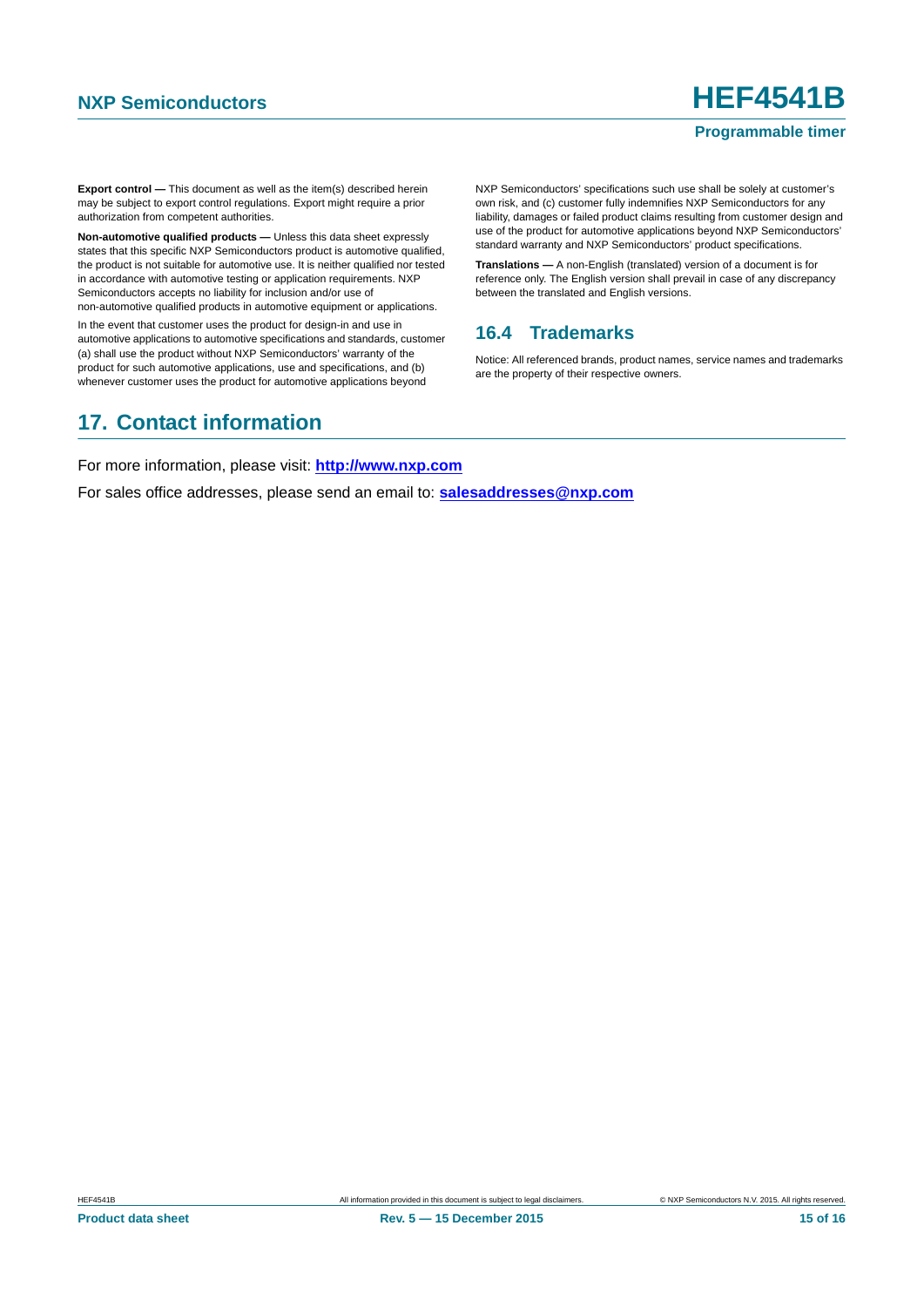#### **Programmable timer**

**Export control —** This document as well as the item(s) described herein may be subject to export control regulations. Export might require a prior authorization from competent authorities.

**Non-automotive qualified products —** Unless this data sheet expressly states that this specific NXP Semiconductors product is automotive qualified, the product is not suitable for automotive use. It is neither qualified nor tested in accordance with automotive testing or application requirements. NXP Semiconductors accepts no liability for inclusion and/or use of non-automotive qualified products in automotive equipment or applications.

In the event that customer uses the product for design-in and use in automotive applications to automotive specifications and standards, customer (a) shall use the product without NXP Semiconductors' warranty of the product for such automotive applications, use and specifications, and (b) whenever customer uses the product for automotive applications beyond

NXP Semiconductors' specifications such use shall be solely at customer's own risk, and (c) customer fully indemnifies NXP Semiconductors for any liability, damages or failed product claims resulting from customer design and use of the product for automotive applications beyond NXP Semiconductors' standard warranty and NXP Semiconductors' product specifications.

**Translations —** A non-English (translated) version of a document is for reference only. The English version shall prevail in case of any discrepancy between the translated and English versions.

#### <span id="page-14-0"></span>**16.4 Trademarks**

Notice: All referenced brands, product names, service names and trademarks are the property of their respective owners.

### <span id="page-14-1"></span>**17. Contact information**

For more information, please visit: **http://www.nxp.com**

For sales office addresses, please send an email to: **salesaddresses@nxp.com**